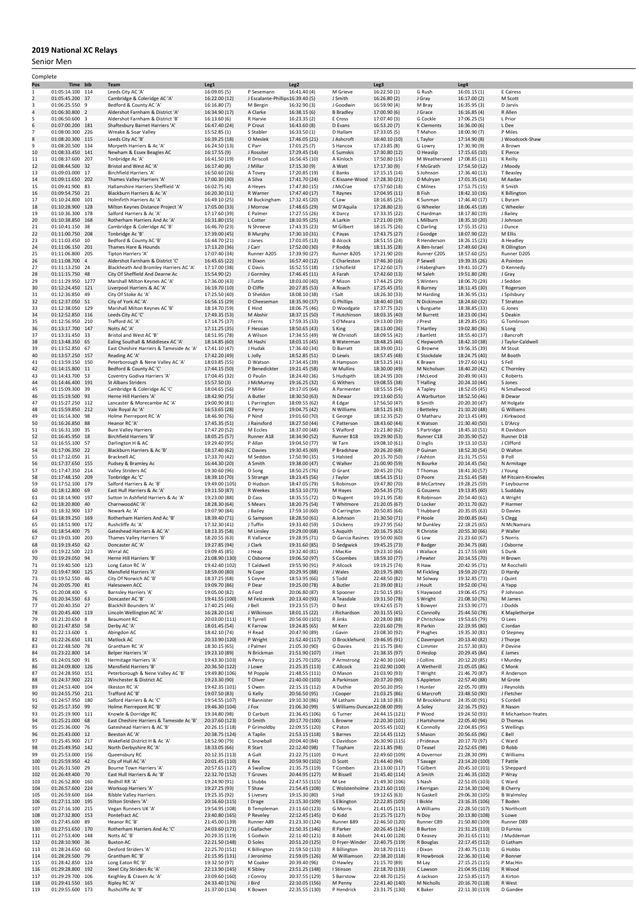## **2019 National XC Relays**

Senior Men

| Complete            |                                      |  |                                                                         |                                  |                                                |                                  |                                 |                                  |                             |                                  |                            |
|---------------------|--------------------------------------|--|-------------------------------------------------------------------------|----------------------------------|------------------------------------------------|----------------------------------|---------------------------------|----------------------------------|-----------------------------|----------------------------------|----------------------------|
| Pos                 | Time bib                             |  | Team                                                                    | Leg1                             |                                                | Leg <sub>2</sub>                 |                                 | Leg3                             |                             | Leg4                             |                            |
| 1<br>$\overline{2}$ | 01:05:14.100 114<br>01:05:45.200 37  |  | Leeds City AC 'A'<br>Cambridge & Coleridge AC 'A'                       | 16:09.05 (5)<br>16:22.00 (12)    | P Sesemann<br>J Escalante-Phillips16:39.40 (5) | 16:41.40 (4)                     | M Grieve<br>J Smith             | 16:22.50 (1)<br>16:26.80 (2)     | G Rush<br>J Gray            | 16:01.15 (1)<br>16:17.00 (2)     | E Cairess<br>M Scott       |
| 3                   | 01:06:25.550<br>9                    |  | Bedford & County AC 'A'                                                 | 16:16.80 (7)                     | M Bergin                                       | 16:32.90 (3)                     | J Goodwin                       | 16:59.90 (4)                     | M Bray                      | 16:35.95 (3)                     | D Jarvis                   |
| $\sqrt{4}$          | 01:06:30.800 2                       |  | Aldershot Farnham & District 'A'                                        | 16:34.90 (17)                    | A Clarke                                       | 16:38.15 (6)                     | <b>B</b> Bradley                | 17:00.90 (6)                     | J Grace                     | 16:16.85 (4)                     | R Allen                    |
| 5                   | 01:06:50.600 3                       |  | Aldershot Farnham & District 'B'                                        | 16:13.60 (6)                     | R Harvie                                       | 16:23.35 (2)                     | E Cross                         | 17:07.40 (3)                     | G Cockle                    | 17:06.25 (5)                     | L Prior                    |
| 6                   | 01:07:00.200 181                     |  | Shaftesbury Barnet Harriers 'A'                                         | 16:47.40 (24)                    | P Crout                                        | 16:43.60 (8)                     | D Evans                         | 16:53.20 (7)                     | K Clements                  | 16:36.00 (6)                     | L Dee                      |
| 7<br>8              | 01:08:00.300 226<br>01:08:20.300 115 |  | Wreake & Soar Valley<br>Leeds City AC 'B'                               | 15:52.85 (1)<br>16:39.25 (18)    | S Stabler<br>O Meslek                          | 16:33.50 (1)<br>17:46.05 (21)    | D Hallam<br>J Ashcroft          | 17:33.05 (5)<br>16:40.10 (10)    | T Mahon<br>L Taylor         | 18:00.90 (7)<br>17:14.90 (8)     | P Miles<br>J Woodcock-Shaw |
| 9                   | 01:08:20.500 134                     |  | Morpeth Harriers & Ac 'A'                                               | 16:24.50 (13)                    | C Parr                                         | 17:01.25 (7)                     | S Hancox                        | 17:23.85 (8)                     | G Lowry                     | 17:30.90 (9)                     | A Brown                    |
| 10                  | 01:08:33.450 141                     |  | Newham & Essex Beagles AC                                               | 16:17.55 (9)                     | J Rossiter                                     | 17:29.45 (14)                    | E Sumskis                       | 17:30.80 (12)                    | O Heaslip                   | 17:15.65 (10)                    | E Pierce                   |
| 11                  | 01:08:37.600 207                     |  | Tonbridge Ac 'A'                                                        | 16:41.50 (19)                    | R Driscoll                                     | 16:56.45 (10)                    | A Kinloch                       | 17:50.80 (15)                    | M Weatherseed 17:08.85 (11) |                                  | K Reilly                   |
| 12                  | 01:08:44.500 32                      |  | Bristol and West AC 'A'                                                 | 16:17.40 (8)                     | J Millar                                       | 17:15.30 (9)                     | A Watt                          | 17:17.30 (9)                     | F McGrath                   | 17:54.50 (12)                    | J Moody                    |
| 13<br>14            | 01:09:03.000 17<br>01:09:11.650 202  |  | <b>Birchfield Harriers 'A'</b>                                          | 16:50.60 (26)                    | A Tovey                                        | 17:20.85 (19)                    | E Banks<br>C Kissane-Wood       | 17:15.15 (14)                    | S Johnson                   | 17:36.40 (13)                    | T Beasley                  |
| 15                  | 01:09:41.900 83                      |  | Thames Valley Harriers 'A'<br>Hallamshire Harriers Sheffield 'A'        | 17:00.30 (30)<br>16:02.75 (4)    | A Silva<br>A Heyes                             | 17:41.70 (24)<br>17:47.80 (15)   | J McCrae                        | 17:28.30 (21)<br>17:57.60 (18)   | D Mulryan<br>C Milnes       | 17:01.35 (14)<br>17:53.75 (15)   | M Aadan<br>R Smith         |
| 16                  | 01:09:54.750 21                      |  | Blackburn Harriers & Ac 'A'                                             | 16:20.30 (11)                    | R Warner                                       | 17:47.40 (17)                    | T Raynes                        | 17:04.95 (11)                    | <b>B</b> Fish               | 18:42.10 (16)                    | K Billington               |
| 17                  | 01:10:24.800 101                     |  | Holmfirth Harriers Ac 'A'                                               | 16:49.10 (25)                    | M Buckingham                                   | 17:32.45 (20)                    | C Law                           | 18:16.85 (25)                    | K Sunman                    | 17:46.40 (17)                    | L Byram                    |
| 18                  | 01:10:28.900 128                     |  | Milton Keynes Distance Project 'A'                                      | 17:05.00 (33)                    | J Morrow                                       | 17:48.65 (29)                    | M D'Aquila                      | 17:28.80 (23)                    | G Wheeler                   | 18:06.45 (18)                    | C Wheeler                  |
| 19                  | 01:10:36.300 178                     |  | Salford Harriers & Ac 'A'                                               | 17:17.60 (39)                    | E Palmer                                       | 17:27.55 (26)                    | K Darcy                         | 17:33.35 (22)                    | C Hardman                   | 18:17.80 (19)                    | J Bailey                   |
| 20<br>21            | 01:10:38.850 168<br>01:10:41.150 38  |  | Rotherham Harriers And Ac 'A'<br>Cambridge & Coleridge AC 'B'           | 16:31.80 (15)                    | L Cotter                                       | 18:10.95 (25)                    | A Larkin                        | 17:21.00 (19)                    | L Milburn                   | 18:35.10 (20)                    | J Johnson                  |
| 22                  | 01:11:00.750 208                     |  | Tonbridge Ac 'B'                                                        | 16:46.70 (23)<br>17:39.00 (45)   | N Shreeve<br><b>B</b> Murphy                   | 17:43.35 (23)<br>17:30.10 (31)   | M Gilbert<br>C Payas            | 18:15.75 (26)<br>17:43.75 (27)   | C Darling<br>J Goodge       | 17:55.35 (21)<br>18:07.90 (22)   | J Dunce<br>M Ellis         |
| 23                  | 01:11:03.450 10                      |  | Bedford & County AC 'B'                                                 | 16:44.70 (21)                    | J Janes                                        | 17:01.05 (13)                    | <b>B Alcock</b>                 | 18:51.55 (24)                    | R Henderson                 | 18:26.15 (23)                    | A Headley                  |
| 24                  | 01:11:06.150 201                     |  | Thames Hare & Hounds                                                    | 17:13.20 (36)                    | J Carr                                         | 17:52.00 (30)                    | P Roddy                         | 18:11.35 (28)                    | A Ben-Israel                | 17:49.60 (24)                    | R Ollington                |
| 25                  | 01:11:06.800 205                     |  | Tipton Harriers 'A'                                                     | 17:07.40 (34)                    | Runner A205                                    | 17:39.90 (27)                    | Runner B205                     | 17:21.90 (20)                    | Runner C205                 | 18:57.60 (25)                    | Runner D205                |
| 26                  | 01:11:08.700<br>$\overline{4}$       |  | Aldershot Farnham & District 'C'                                        | 16:45.65 (22)                    | H Dixon                                        | 16:57.40 (12)                    | C Charleston                    | 17:46.30 (16)                    | P Sewell                    | 19:39.35 (26)                    | A Pointon                  |
| 27                  | 01:11:13.250 24<br>01:11:15.750 48   |  | Blackheath And Bromley Harriers AC 'A'                                  | 17:17.00 (38)                    | C Davis                                        | 16:52.55 (18)                    | J Schofield                     | 17:22.60 (17)                    | J Habergham                 | 19:41.10 (27)                    | D Kennedy                  |
| 28<br>29            | 01:11:29.950 1277                    |  | City Of Sheffield And Dearne Ac<br>Marshall Milton Keynes AC 'A'        | 15:54.90 (2)<br>17:36.00 (43)    | J Gormley<br>J Tuttle                          | 17:46.45 (11)<br>18:03.00 (40)   | A Farah<br>P Mizon              | 17:42.60 (13)<br>17:44.25 (29)   | M Saleh<br>S Winters        | 19:51.80 (28)<br>18:06.70 (29)   | J Gray<br>J Seddon         |
| 30                  | 01:12:24.450 121                     |  | Liverpool Harriers & AC 'A'                                             | 16:19.70 (10)                    | D Cliffe                                       | 20:27.85 (53)                    | A Roach                         | 17:25.45 (35)                    | R Burney                    | 18:11.45 (30)                    | T Rogerson                 |
| 31                  | 01:12:36.850 49                      |  | City Of Stoke Ac 'A'                                                    | 17:25.50 (40)                    | D Sheldon                                      | 18:08.10 (38)                    | I Salt                          | 18:26.30 (33)                    | M Harding                   | 18:36.95 (31)                    | J Spilsbury                |
| 32                  | 01:12:37.050 51                      |  | City of York AC 'A'                                                     | 16:56.15 (29)                    | D Cheeseman                                    | 18:35.90 (37)                    | <b>G Phillips</b>               | 18:40.40 (34)                    | N Dickinson                 | 18:24.60 (32)                    | T Stratton                 |
| 33                  | 01:12:38.050 129                     |  | Marshall Milton Keynes AC 'B'                                           | 18:14.70 (59)                    | E Hind                                         | 18:06.75 (46)                    | D Woodgate                      | 17:37.75 (32)                    | L Burguete                  | 18:38.85 (33)                    | G Jones                    |
| 34<br>35            | 01:12:52.850 116<br>01:12:56.950 210 |  | Leeds City AC 'C'<br>Trafford AC 'A'                                    | 17:49.35 (53)                    | M Abshir                                       | 18:37.15 (50)                    | T Hutchinson                    | 18:03.35 (40)                    | M Burrett                   | 18:23.00 (34)                    | S Deakin                   |
| 36                  | 01:13:17.700 147                     |  | Notts AC 'A'                                                            | 17:14.75 (37)<br>17:11.25 (35)   | J Ferns<br>F Hessian                           | 17:59.35 (33)<br>18:50.65 (43)   | S O'Meara<br>S King             | 19:13.00 (39)<br>18:13.00 (36)   | J Prest<br>T Hartley        | 18:29.85 (35)<br>19:02.80 (36)   | G Tomlinson<br>S Long      |
| 37                  | 01:13:31.450 33                      |  | Bristol and West AC 'B'                                                 | 18:51.95 (78)                    | A Wilson                                       | 17:34.55 (49)                    | W Christofi                     | 18:09.55 (42)                    | J Bartlett                  | 18:55.40 (37)                    | J Bancroft                 |
| 38                  | 01:13:48.350 65                      |  | Ealing Southall & Middlesex AC 'A'                                      | 18:14.85 (60)                    | M Hashi                                        | 18:03.15 (45)                    | <b>B</b> Waterman               | 18:48.25 (46)                    | C Hepworth                  | 18:42.10 (38)                    | J Taylor-Caldwell          |
| 39                  | 01:13:52.850<br>67                   |  | East Cheshire Harriers & Tameside Ac 'A'                                | 17:41.10 (47)                    | J Hudak                                        | 17:36.40 (34)                    | D Barratt                       | 18:39.00 (31)                    | G Browne                    | 19:56.35 (39)                    | M Stout                    |
| 40                  | 01:13:57.250 157                     |  | Reading AC 'A'                                                          | 17:42.20 (49)                    | L Jolly                                        | 18:52.85 (51)                    | D Lewis                         | 18:57.45 (48)                    | E Stockdale                 | 18:24.75 (40)                    | M Booth                    |
| 41<br>42            | 01:13:59.150 150<br>01:14:15.800 11  |  | Peterborough & Nene Valley AC 'A'<br>Bedford & County AC 'C'            | 18:03.85 (55)<br>17:44.15 (50)   | D Watson<br>P Benedickter                      | 17:34.45 (39)<br>19:21.45 (58)   | A Hampson<br>W Mullins          | 18:53.25 (41)<br>18:30.00 (49)   | K Brawn<br>M Nicholson      | 19:27.60 (41)                    | S Fell<br>C Thornley       |
| 43                  | 01:14:43.700 53                      |  | Coventry Godiva Harriers 'A'                                            | 17:04.45 (32)                    | O Paulin                                       | 18:24.40 (36)                    | S Hudspith                      | 18:24.95 (30)                    | J McLeod                    | 18:40.20 (42)<br>20:49.90 (43)   | C Roberts                  |
| 44                  | 01:14:46.400 191                     |  | St Albans Striders                                                      | 15:57.50 (3)                     | J McMurray                                     | 19:16.25 (32)                    | G Withers                       | 19:08.55 (38)                    | T Halling                   | 20:24.10 (44)                    | S Jones                    |
| 45                  | 01:15:09.300 39                      |  | Cambridge & Coleridge AC 'C'                                            | 18:04.65 (56)                    | P Miller                                       | 19:17.05 (64)                    | A Parmenter                     | 18:55.55 (54)                    | A Tapley                    | 18:52.05 (45)                    | N Smallwood                |
| 46                  | 01:15:19.500 93                      |  | Herne Hill Harriers 'A'                                                 | 18:42.90 (75)                    | A Butler                                       | 18:30.50 (63)                    | N Dewar                         | 19:13.60 (55)                    | A Warburton                 | 18:52.50 (46)                    | <b>B</b> Dewar             |
| 47                  | 01:15:27.250 112                     |  | Lancaster & Morecambe AC 'A'                                            | 19:00.90 (81)                    | L Parrington                                   | 18:09.55 (62)                    | R Edgar                         | 17:56.50 (47)                    | <b>B</b> Smith              | 20:20.30 (47)                    | M Holgate                  |
| 48                  | 01:15:59.850 212                     |  | Vale Royal Ac 'A'                                                       | 16:53.65 (28)                    | C Perry                                        | 19:04.75 (42)                    | N Williams                      | 18:51.25 (43)                    | J Betteley                  | 21:10.20 (48)                    | G Williams                 |
| 49<br>50            | 01:16:14.300 98<br>01:16:26.850 88   |  | Holme Pierrepont RC 'A'<br>Heanor RC 'A'                                | 18:46.90 (76)<br>17:45.35 (51)   | P Nind<br>J Rainsford                          | 19:01.60 (70)<br>18:27.50 (44)   | E George<br>C Patterson         | 18:12.35 (52)<br>18:43.60 (44)   | O Matharu<br>K Watson       | 20:13.45 (49)<br>21:30.40 (50)   | J Kirkwood<br>L D'Arcy     |
| 51                  | 01:16:31.100 35                      |  | <b>Bure Valley Harriers</b>                                             | 17:47.20 (52)                    | M Eccles                                       | 18:37.00 (48)                    | S Walford                       | 21:21.80 (62)                    | S Partridge                 | 18:45.10 (51)                    | R Davidson                 |
| 52                  | 01:16:45.950 18                      |  | <b>Birchfield Harriers 'B'</b>                                          | 18:05.25 (57)                    | Runner A18                                     | 18:34.90 (52)                    | Runner B18                      | 19:29.90 (53)                    | Runner C18                  | 20:35.90 (52)                    | Runner D18                 |
| 53                  | 01:16:55.100 57                      |  | Darlington H & AC                                                       | 19:29.40 (95)                    | P Allan                                        | 19:04.50 (77)                    | W Tarn                          | 19:08.10 (61)                    | D Inglis                    | 19:13.10 (53)                    | J Clifford                 |
| 54                  | 01:17:06.350 22                      |  | Blackburn Harriers & Ac 'B'                                             | 18:17.40 (62)                    | C Davies                                       | 19:30.45 (69)                    | P Bradshaw                      | 20:26.20 (68)                    | P Guinan                    | 18:52.30 (54)                    | D Walton                   |
| 55                  | 01:17:12.050 31                      |  | Bracknell AC                                                            | 17:33.70 (42)                    | M Seddon                                       | 17:50.90 (35)                    | S Halsted                       | 20:15.70 (50)                    | J Ashton                    | 21:31.75 (55)                    | <b>B</b> Poll              |
| 56<br>57            | 01:17:37.650 155<br>01:17:47.350 214 |  | Pudsey & Bramley Ac<br>Valley Striders AC                               | 16:44.30 (20)<br>19:30.60 (96)   | A Smith<br>D Song                              | 19:38.00 (47)<br>18:50.25 (76)   | C Walker<br>D Grant             | 21:00.90 (59)<br>20:45.20 (76)   | N Bourke<br>T Thomas        | 20:14.45 (56)<br>18:41.30 (57)   | N Armitage<br>J Young      |
| 58                  | 01:17:48.150 209                     |  | Tonbridge Ac 'C'                                                        | 18:39.10 (70)                    | S Strange                                      | 18:23.45 (56)                    | J Taylor                        | 18:54.15 (51)                    | D Poore                     | 21:51.45 (58)                    | M Pitcairn-Knowles         |
| 59                  | 01:17:52.100 179                     |  | Salford Harriers & Ac 'B'                                               | 19:49.00 (105)                   | D Hudson                                       | 18:47.05 (79)                    | S Robinson                      | 19:47.80 (70)                    | <b>B McCartney</b>          | 19:28.25 (59)                    | P Leybourne                |
| 60                  | 01:18:12.800 69                      |  | East Hull Harriers & Ac 'A'                                             | 19:11.50 (87)                    | R Weekes                                       | 18:53.10 (73)                    | M Hayes                         | 20:54.35 (75)                    | G Couzens                   | 19:13.85 (60)                    | L Suddaby                  |
| 61                  | 01:18:14.900 197                     |  | Sutton In Ashfield Harriers & Ac 'A'                                    | 19:23.00 (88)                    | D Cass                                         | 18:35.55 (72)                    | D Nugent                        | 19:21.95 (58)                    | R Robinson                  | 20:54.40 (61)                    | A Wright                   |
| 62                  | 01:18:20.800 40                      |  | CharnwoodAC 'A'                                                         | 18:28.30 (64)<br>19:07.90 (84)   | S Mears                                        | 18:20.75 (54)                    | T Whitmore                      | 21:20.05 (67)                    | D Locker                    | 20:11.70 (62)                    | P Harmer                   |
| 63<br>64            | 01:18:32.900 137<br>01:18:39.250 169 |  | Newark Ac 'A'<br>Rotherham Harriers And Ac 'B'                          | 18:39.40 (71)                    | J Bailey<br>G Sampson                          | 17:59.10 (60)<br>18:28.50 (61)   | O Carrington<br>A Johnson       | 20:50.85 (64)<br>21:30.50 (71)   | T Hubbard<br>P Hoole        | 20:35.05 (63)<br>20:00.85 (64)   | D Davies<br>S Clegg        |
| 65                  | 01:18:51.900 172                     |  | Rushcliffe Ac 'A'                                                       | 17:32.30 (41)                    | J Tuffin                                       | 19:33.40 (59)                    | S Dickens                       | 19:27.95 (56)                    | M Dunkley                   | 22:18.25 (65)                    | N McNamara                 |
| 66                  | 01:18:54.400 75                      |  | Gateshead Harriers & AC 'A'                                             | 18:13.35 (58)                    | M Linsley                                      | 19:29.00 (68)                    | S Asquith                       | 20:16.75 (65)                    | R Christie                  | 20:55.30 (66)                    | P Waller                   |
| 67                  | 01:19:03.100 203                     |  | Thames Valley Harriers 'B'                                              | 18:20.55 (63)                    | R Vallance                                     | 19:28.95 (71)                    | D Garcia Rasines 19:50.00 (60)  |                                  | G Low                       | 21:23.60 (67)                    | S Norris                   |
| 68                  | 01:19:19.450 62                      |  | Doncaster AC 'A'                                                        | 19:27.85 (94)                    | J Clark                                        | 19:31.60 (85)                    | D Sedgwick                      | 19:45.25 (73)                    | P Badger                    | 20:34.75 (68)                    | J Osborne                  |
| 69                  | 01:19:22.500 223<br>01:19:29.050 94  |  | Wirral AC                                                               | 19:09.45 (85)                    | J Heap<br>C Osborne                            | 19:32.40 (81)                    | J MacKie                        | 19:23.10 (66)                    | I Wallace                   | 21:17.55 (69)                    | S Dunk                     |
| 70<br>71            | 01:19:40.500 123                     |  | Herne Hill Harriers 'B'<br>Long Eaton RC 'A'                            | 21:08.90 (130)<br>19:42.40 (102) | T Caldwell                                     | 19:06.50 (97)<br>19:55.90 (91)   | S Coombes<br>P Allcock          | 18:59.10 (77)<br>19:19.25 (74)   | J Pewter<br>R Haw           | 20:14.55 (70)<br>20:42.95 (71)   | H Brown<br>M Rocchelli     |
| 72                  | 01:19:47.900 125                     |  | Mansfield Harriers 'A'                                                  | 18:59.00 (80)                    | N Cope                                         | 20:29.95 (88)                    | J Wales                         | 20:19.75 (80)                    | M Fickling                  | 19:59.20 (72)                    | D Hardy                    |
| 73                  | 01:19:52.550 46                      |  | City Of Norwich AC 'B'                                                  | 18:37.25 (68)                    | S Coyne                                        | 18:53.95 (66)                    | S Todd                          | 22:48.50 (82)                    | M Solway                    | 19:32.85 (73)                    | J Quint                    |
| 74                  | 01:20:05.700 81                      |  | Halesowen ACC                                                           | 19:09.70 (86)                    | P Dear                                         | 19:25.00 (78)                    | A Butler                        | 21:39.00 (81)                    | J Hoult                     | 19:52.00 (74)                    | A Yapp                     |
| 75                  | 01:20:08.400<br>6                    |  | Barnsley Harriers 'A'                                                   | 19:05.00 (82)                    | A Ford                                         | 20:06.80 (87)                    | R Spooner                       | 21:50.15 (85)                    | S Haywood                   | 19:06.45 (75)                    | P Johnson                  |
| 76<br>77            | 01:20:34.550 63<br>01:20:40.350 27   |  | Doncaster AC 'B'<br>Blackhill Bounders 'A'                              | 19:41.55 (100)<br>17:40.25 (46)  | M Felczerek<br>J Bell                          | 20:13.40 (93)<br>19:23.55 (57)   | A Teasdale<br>D Best            | 19:31.50 (78)<br>19:42.65 (57)   | S Wright<br>S Bowyer        | 21:08.10 (76)<br>23:53.90 (77)   | M James<br>J Dodds         |
| 78                  | 01:20:45.400 119                     |  | Lincoln Wellington AC 'A'                                               | 16:28.20 (14)                    | J Wilkinson                                    | 18:01.15 (22)                    | J Richardson                    | 20:31.55 (45)                    | C Connolly                  | 25:44.50 (78)                    | K Maplethorpe              |
| 79                  | 01:21:20.650 8                       |  | <b>Beaumont RC</b>                                                      | 20:03.00 (111)                   | R Tyrrell                                      | 20:56.00 (101)                   | R Jinks                         | 20:28.00 (88)                    | P Chritchlow                | 19:53.65 (79)                    | O Lees                     |
| 80                  | 01:21:47.850 58                      |  | Derby AC 'A'                                                            | 18:01.45 (54)                    | K Farrow                                       | 19:24.85 (65)                    | M Kerr                          | 22:01.60 (79)                    | R Parkin                    | 22:19.95 (80)                    | C Jordan                   |
| 81                  | 01:22:13.600 1                       |  | Abingdon AC                                                             | 18:42.10 (74)                    | H Read                                         | 20:47.90 (89)                    | J Gavin                         | 23:08.30 (92)                    | P Hughes                    | 19:35.30 (81)                    | O Stepney                  |
| 82<br>83            | 01:22:26.650 131<br>01:22:48.500 78  |  | Matlock AC<br>Grantham RC 'A'                                           | 20:33.90 (120)<br>18:30.15 (65)  | P Wright<br>J Palmer                           | 21:52.40 (117)<br>21:05.30 (90)  | O Brocklehurst<br>G Davies      | 19:46.95 (91)<br>21:15.75 (84)   | C Davenport<br>C Limmer     | 20:13.40 (82)<br>21:57.30 (83)   | J Thorpe<br>P Devine       |
| 84                  | 01:23:22.800 14                      |  | <b>Belper Harriers 'A'</b>                                              | 19:23.10 (89)                    | N Brickman                                     | 21:51.90 (107)                   | J Hart                          | 21:38.35 (97)                    | D Heslop                    | 20:29.45 (84)                    | E James                    |
| 85                  | 01:24:01.500 91                      |  | Hermitage Harriers 'A'                                                  | 19:43.30 (103)                   | A Percy                                        | 21:25.70 (105)                   | P Armstrong                     | 22:40.30 (104)                   | J Collins                   | 20:12.20 (85)                    | I Murdey                   |
| 86                  | 01:24:09.800 126                     |  | Mansfield Harriers 'B'                                                  | 20:36.50 (122)                   | J Lowe                                         | 21:25.35 (113)                   | C Allcock                       | 21:02.90 (100)                   | A Wetherill                 | 21:05.05 (86)                    | C Monk                     |
| 87                  | 01:24:28.950 151                     |  | Peterborough & Nene Valley AC 'B'                                       | 19:49.80 (106)                   | M Popple                                       | 21:48.55 (111)                   | O Mason                         | 21:03.90 (93)                    | T Wright                    | 21:46.70 (87)                    | R Anderson                 |
| 88<br>89            | 01:24:37.900 221<br>01:24:53.400 104 |  | Winchester & District AC<br>Ilkeston RC 'A'                             | 19:23.30 (90)<br>19:42.35 (101)  | T Oliver<br>S Owen                             | 21:40.00 (103)<br>22:15.15 (112) | A Parkinson<br>A Duthie         | 20:37.20 (90)<br>20:50.20 (95)   | S Appleton<br>I Hunter      | 22:57.40 (88)<br>22:05.70 (89)   | M Grote<br>J Reynolds      |
| 90                  | 01:24:55.750 211                     |  | Trafford AC'B'                                                          | 19:07.50 (83)                    | G Kelly                                        | 20:56.50 (95)                    | J Cooper                        | 21:03.25 (86)                    | G Marcroft                  | 23:48.50 (90)                    | J Fletcher                 |
| 91                  | 01:24:57.950 180                     |  | Salford Harriers & Ac 'C'                                               | 19:54.55 (107)                   | P Bannister                                    | 19:10.30 (86)                    | M Latham                        | 21:18.10 (83)                    | M Brocklehurst              | 24:35.00 (91)                    | S Cordell                  |
| 92                  | 01:25:17.350 99                      |  | Holme Pierrepont RC 'B'                                                 | 19:46.30 (104)                   | J Fox                                          | 21:06.30 (99)                    | S Williams-Duncan 22:08.00 (99) |                                  | A Soley                     | 22:16.75 (92)                    | R Nason                    |
| 93                  | 01:25:19.900 111                     |  | Knowle & Dorridge RC                                                    | 19:34.80 (98)                    | D Carbutt                                      | 21:36.45 (106)                   | G Turner                        | 24:44.15 (121)                   | P Wood                      | 19:24.50 (93)                    | R Michaelson-Yeates        |
| 94<br>95            | 01:25:21.000 68<br>01:25:36.000 76   |  | East Cheshire Harriers & Tameside Ac 'B'<br>Gateshead Harriers & AC 'B' | 20:37.60 (123)<br>20:26.15 (118) | D Smith<br>P Grimoldby                         | 20:17.70 (100)<br>22:09.55 (120) | L Browne<br>C Paton             | 22:20.30 (101)<br>20:55.45 (102) | J Hartshorne<br>K Connolly  | 22:05.40 (94)<br>22:04.85 (95)   | D Thomas<br>S Wellings     |
| 96                  | 01:25:43.000 12                      |  | Beeston AC 'A'                                                          | 20:38.75 (124)                   | A Taplin                                       | 21:53.15 (118)                   | S Barnes                        | 22:14.45 (112)                   | S Mason                     | 20:56.65 (96)                    | C Bell                     |
| 97                  | 01:25:45.900 217                     |  | Wakefield District H & Ac 'A'                                           | 18:52.90 (79)                    | C Snowball                                     | 20:04.40 (84)                    | C Davidson                      | 26:30.90 (115)                   | J Prideaux                  | 20:17.70 (97)                    | C Ward                     |
| 98                  | 01:25:49.950 142                     |  | North Derbyshire RC 'A'                                                 | 18:33.05 (66)                    | R Start                                        | 22:12.40 (98)                    | T Topham                        | 22:11.85 (98)                    | D Teasel                    | 22:52.65 (98)                    | D Robb                     |
| 99                  | 01:25:53.000 156                     |  | Queensbury RC                                                           | 20:12.35 (113)                   | A Galt                                         | 21:22.75 (110)                   | D Hunt                          | 22:49.60 (109)                   | A Dovernor                  | 21:28.30 (99)                    | C Williams                 |
| 100                 | 01:25:59.950 42                      |  | City of Hull AC 'A'                                                     | 20:01.45 (110)                   | E Rex                                          | 20:59.90 (102)                   | D Scott                         | 21:44.40 (94)                    | T Savage                    | 23:14.20 (100)                   | T Pattle                   |
| 101<br>102          | 01:26:31.500 29<br>01:26:49.400 70   |  | Bourne Town Harriers 'A'<br>East Hull Harriers & Ac 'B'                 | 20:57.65 (127)<br>22:32.70 (152) | A Swallow<br>T Groves                          | 21:35.75 (119)<br>20:44.95 (127) | T Comben<br>M Bissell           | 23:13.00 (117)<br>21:45.40 (114) | T Gilbert<br>A Smith        | 20:45.10 (101)<br>21:46.35 (102) | S Sheppard<br>P Wray       |
| 103                 | 01:26:52.800 160                     |  | Redhill RR 'A'                                                          | 19:24.90 (91)                    | L Stubbs                                       | 22:47.55 (115)                   | M Lee                           | 21:49.30 (106)                   | S Nash                      | 22:51.05 (103)                   | C Ward                     |
| 104                 | 01:26:57.600 224                     |  | Worksop Harriers 'A'                                                    | 19:27.25 (93)                    | T Shaw                                         | 21:54.45 (108)                   | C Wolstenholme                  | 23:21.60 (110)                   | J Kerrigan                  | 22:14.30 (104)                   | <b>B</b> Cherry            |
| 105                 | 01:26:59.600 164                     |  | Ribble Valley Harriers                                                  | 19:25.35 (92)                    | S Livesey                                      | 19:15.30 (80)                    | S Hall                          | 19:12.65 (63)                    | N Gaskell                   | 29:06.30 (105)                   | <b>B</b> Walmsley          |
| 106                 | 01:27:11.100 195                     |  | Stilton Striders 'A'                                                    | 20:16.60 (115)                   | I Drage                                        | 21:15.30 (109)                   | S Elkington                     | 22:22.85 (105)                   | I Bickle                    | 23:16.35 (106)                   | T Boden                    |
| 107                 | 01:27:16.100 215                     |  | Vegan Runners UK 'A'                                                    | 19:54.95 (108)                   | <b>B</b> Templeman                             | 23:11.60 (123)                   | <b>G</b> Morris                 | 21:41.05 (113)                   | A Williams                  | 22:28.50 (107)                   | S Northcott                |
| 108<br>109          | 01:27:32.800 153<br>01:27:45.600 89  |  | Pontefract AC<br>Heanor RC 'B'                                          | 23:40.80 (165)<br>21:45.00 (139) | P Reveley<br>Runner A89                        | 22:12.45 (145)<br>21:23.30 (124) | D Kidd<br>Runner B89            | 21:25.75 (127)<br>22:46.50 (120) | N Doy<br>Runner C89         | 20:13.80 (108)<br>21:50.80 (109) | S Lowe<br>Runner D89       |
| 110                 | 01:27:51.650 170                     |  | Rotherham Harriers And Ac 'C'                                           | 24:03.60 (171)                   | J Gallacher                                    | 21:50.35 (146)                   | R Parker                        | 20:26.45 (124)                   | <b>B</b> Burton             | 21:31.25 (110)                   | D Furniss                  |
| 111                 | 01:27:53.400 148                     |  | Notts AC 'B'                                                            | 20:29.35 (119)                   | S Godwin                                       | 22:11.40 (121)                   | <b>B</b> Abbott                 | 24:41.00 (128)                   | D Keasey                    | 20:31.65 (111)                   | J Muddeman                 |
| 112                 | 01:28:10.900 36                      |  | <b>Buxton AC</b>                                                        | 22:21.50 (148)                   | D Soles                                        | 20:51.20 (125)                   | D Fryer-Winder                  | 22:40.75 (119)                   | R Bouglas                   | 22:17.45 (112)                   | D Latham                   |
| 113                 | 01:28:24.650 60                      |  | Desford Striders 'A'                                                    | 22:25.70 (151)                   | K Billington                                   | 21:59.50 (133)                   | R Billington                    | 20:18.70 (111)                   | J Dixon                     | 23:40.75 (113)                   | G Hobbs                    |
| 114                 | 01:28:29.500 79<br>01:28:42.850 124  |  | Grantham RC 'B'<br>Long Eaton RC 'B'                                    | 21:15.95 (131)<br>19:32.50 (97)  | J Jeronimo<br>M Coaker                         | 21:59.05 (126)<br>20:39.40 (96)  | M Williamson                    | 22:38.20 (118)                   | R Howbrook                  | 22:36.30 (114)<br>27:15.25 (115) | P Bonner                   |
| 115<br>116          | 01:29:28.800 192                     |  | Steel City Striders Rc 'A'                                              | 22:13.90 (145)                   | K Sibley                                       | 23:51.25 (148)                   | D Hawley<br>I Stinson           | 21:15.70 (89)<br>22:18.70 (133)  | M Lay<br>C Lawson           | 21:04.95 (116)                   | P MacHin<br>R Wood         |
| 117                 | 01:29:29.700 106                     |  | Keighley & Craven Ac 'A'                                                | 23:09.60 (160)                   | J Conroy                                       | 20:37.55 (129)                   | S Bairstow                      | 22:48.70 (125)                   | A Jackson                   | 22:53.85 (117)                   | A Kirton                   |
| 118                 | 01:29:41.550 165                     |  | Ripley RC 'A'                                                           | 24:33.40 (176)                   | J Bird                                         | 22:10.05 (156)                   | M Penny                         | 22:41.40 (140)                   | M Nicholls                  | 20:16.70 (118)                   | R West                     |
| 119                 | 01:29:55.600 173                     |  | Rushcliffe Ac 'B'                                                       | 21:37.00 (134)                   | K Bowen                                        | 22:35.55 (130)                   | P Hendrick                      | 23:31.75 (130)                   | K Baker                     | 22:11.30 (119)                   | D Gandee                   |